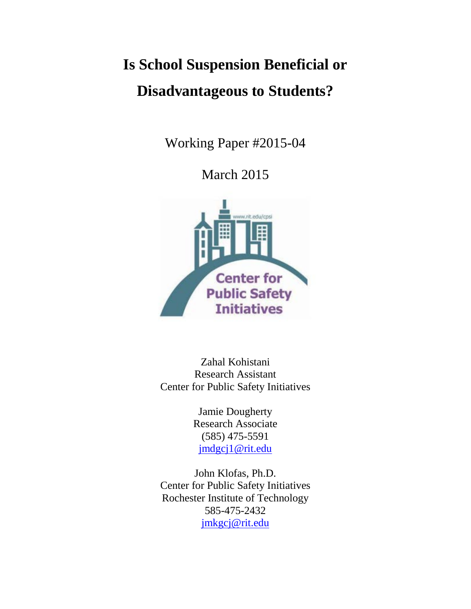## **Is School Suspension Beneficial or Disadvantageous to Students?**

Working Paper #2015-04

March 2015



Zahal Kohistani Research Assistant Center for Public Safety Initiatives

> Jamie Dougherty Research Associate (585) 475-5591 [jmdgcj1@rit.edu](mailto:jmdgcj1@rit.edu)

John Klofas, Ph.D. Center for Public Safety Initiatives Rochester Institute of Technology 585-475-2432 [jmkgcj@rit.edu](mailto:jmkgcj@rit.edu)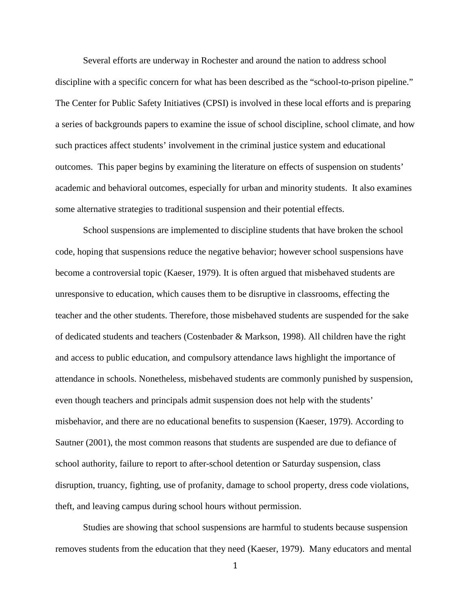Several efforts are underway in Rochester and around the nation to address school discipline with a specific concern for what has been described as the "school-to-prison pipeline." The Center for Public Safety Initiatives (CPSI) is involved in these local efforts and is preparing a series of backgrounds papers to examine the issue of school discipline, school climate, and how such practices affect students' involvement in the criminal justice system and educational outcomes. This paper begins by examining the literature on effects of suspension on students' academic and behavioral outcomes, especially for urban and minority students. It also examines some alternative strategies to traditional suspension and their potential effects.

School suspensions are implemented to discipline students that have broken the school code, hoping that suspensions reduce the negative behavior; however school suspensions have become a controversial topic (Kaeser, 1979). It is often argued that misbehaved students are unresponsive to education, which causes them to be disruptive in classrooms, effecting the teacher and the other students. Therefore, those misbehaved students are suspended for the sake of dedicated students and teachers (Costenbader & Markson, 1998). All children have the right and access to public education, and compulsory attendance laws highlight the importance of attendance in schools. Nonetheless, misbehaved students are commonly punished by suspension, even though teachers and principals admit suspension does not help with the students' misbehavior, and there are no educational benefits to suspension (Kaeser, 1979). According to Sautner (2001), the most common reasons that students are suspended are due to defiance of school authority, failure to report to after-school detention or Saturday suspension, class disruption, truancy, fighting, use of profanity, damage to school property, dress code violations, theft, and leaving campus during school hours without permission.

Studies are showing that school suspensions are harmful to students because suspension removes students from the education that they need (Kaeser, 1979). Many educators and mental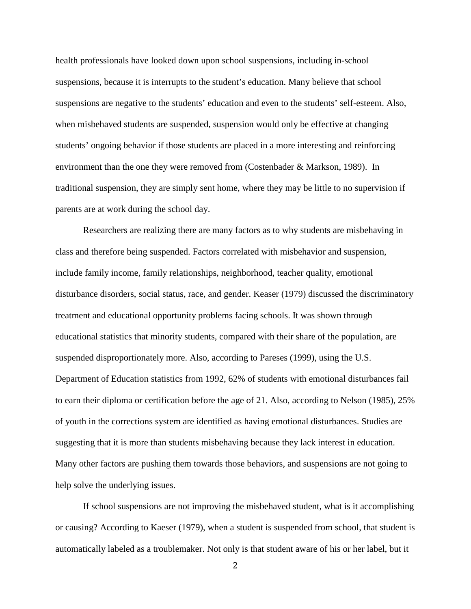health professionals have looked down upon school suspensions, including in-school suspensions, because it is interrupts to the student's education. Many believe that school suspensions are negative to the students' education and even to the students' self-esteem. Also, when misbehaved students are suspended, suspension would only be effective at changing students' ongoing behavior if those students are placed in a more interesting and reinforcing environment than the one they were removed from (Costenbader & Markson, 1989). In traditional suspension, they are simply sent home, where they may be little to no supervision if parents are at work during the school day.

Researchers are realizing there are many factors as to why students are misbehaving in class and therefore being suspended. Factors correlated with misbehavior and suspension, include family income, family relationships, neighborhood, teacher quality, emotional disturbance disorders, social status, race, and gender. Keaser (1979) discussed the discriminatory treatment and educational opportunity problems facing schools. It was shown through educational statistics that minority students, compared with their share of the population, are suspended disproportionately more. Also, according to Pareses (1999), using the U.S. Department of Education statistics from 1992, 62% of students with emotional disturbances fail to earn their diploma or certification before the age of 21. Also, according to Nelson (1985), 25% of youth in the corrections system are identified as having emotional disturbances. Studies are suggesting that it is more than students misbehaving because they lack interest in education. Many other factors are pushing them towards those behaviors, and suspensions are not going to help solve the underlying issues.

If school suspensions are not improving the misbehaved student, what is it accomplishing or causing? According to Kaeser (1979), when a student is suspended from school, that student is automatically labeled as a troublemaker. Not only is that student aware of his or her label, but it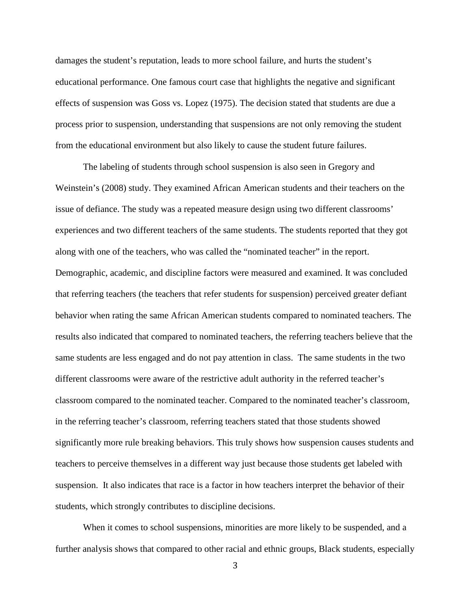damages the student's reputation, leads to more school failure, and hurts the student's educational performance. One famous court case that highlights the negative and significant effects of suspension was Goss vs. Lopez (1975). The decision stated that students are due a process prior to suspension, understanding that suspensions are not only removing the student from the educational environment but also likely to cause the student future failures.

The labeling of students through school suspension is also seen in Gregory and Weinstein's (2008) study. They examined African American students and their teachers on the issue of defiance. The study was a repeated measure design using two different classrooms' experiences and two different teachers of the same students. The students reported that they got along with one of the teachers, who was called the "nominated teacher" in the report. Demographic, academic, and discipline factors were measured and examined. It was concluded that referring teachers (the teachers that refer students for suspension) perceived greater defiant behavior when rating the same African American students compared to nominated teachers. The results also indicated that compared to nominated teachers, the referring teachers believe that the same students are less engaged and do not pay attention in class. The same students in the two different classrooms were aware of the restrictive adult authority in the referred teacher's classroom compared to the nominated teacher. Compared to the nominated teacher's classroom, in the referring teacher's classroom, referring teachers stated that those students showed significantly more rule breaking behaviors. This truly shows how suspension causes students and teachers to perceive themselves in a different way just because those students get labeled with suspension. It also indicates that race is a factor in how teachers interpret the behavior of their students, which strongly contributes to discipline decisions.

When it comes to school suspensions, minorities are more likely to be suspended, and a further analysis shows that compared to other racial and ethnic groups, Black students, especially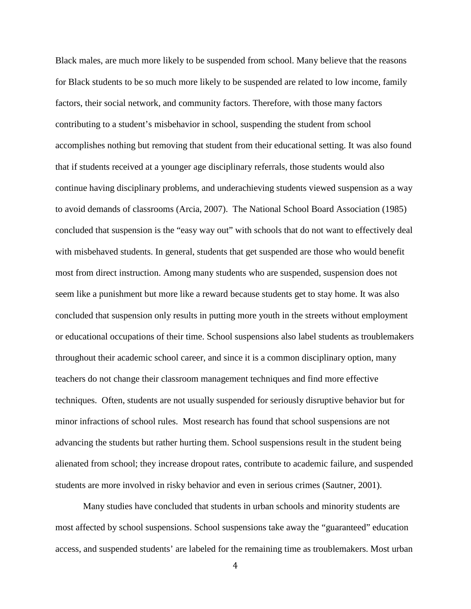Black males, are much more likely to be suspended from school. Many believe that the reasons for Black students to be so much more likely to be suspended are related to low income, family factors, their social network, and community factors. Therefore, with those many factors contributing to a student's misbehavior in school, suspending the student from school accomplishes nothing but removing that student from their educational setting. It was also found that if students received at a younger age disciplinary referrals, those students would also continue having disciplinary problems, and underachieving students viewed suspension as a way to avoid demands of classrooms (Arcia, 2007). The National School Board Association (1985) concluded that suspension is the "easy way out" with schools that do not want to effectively deal with misbehaved students. In general, students that get suspended are those who would benefit most from direct instruction. Among many students who are suspended, suspension does not seem like a punishment but more like a reward because students get to stay home. It was also concluded that suspension only results in putting more youth in the streets without employment or educational occupations of their time. School suspensions also label students as troublemakers throughout their academic school career, and since it is a common disciplinary option, many teachers do not change their classroom management techniques and find more effective techniques. Often, students are not usually suspended for seriously disruptive behavior but for minor infractions of school rules. Most research has found that school suspensions are not advancing the students but rather hurting them. School suspensions result in the student being alienated from school; they increase dropout rates, contribute to academic failure, and suspended students are more involved in risky behavior and even in serious crimes (Sautner, 2001).

Many studies have concluded that students in urban schools and minority students are most affected by school suspensions. School suspensions take away the "guaranteed" education access, and suspended students' are labeled for the remaining time as troublemakers. Most urban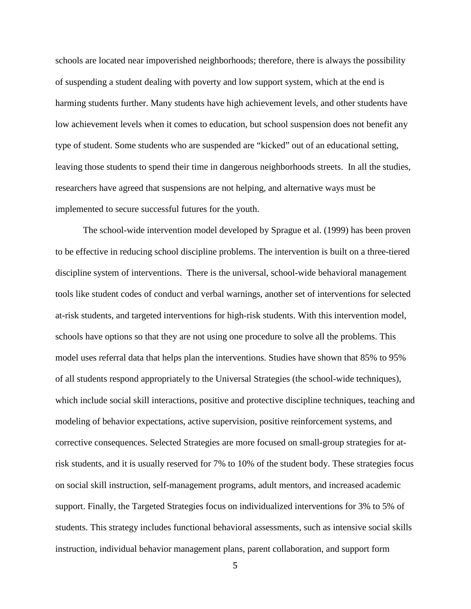schools are located near impoverished neighborhoods; therefore, there is always the possibility of suspending a student dealing with poverty and low support system, which at the end is harming students further. Many students have high achievement levels, and other students have low achievement levels when it comes to education, but school suspension does not benefit any type of student. Some students who are suspended are "kicked" out of an educational setting, leaving those students to spend their time in dangerous neighborhoods streets. In all the studies, researchers have agreed that suspensions are not helping, and alternative ways must be implemented to secure successful futures for the youth.

The school-wide intervention model developed by Sprague et al. (1999) has been proven to be effective in reducing school discipline problems. The intervention is built on a three-tiered discipline system of interventions. There is the universal, school-wide behavioral management tools like student codes of conduct and verbal warnings, another set of interventions for selected at-risk students, and targeted interventions for high-risk students. With this intervention model, schools have options so that they are not using one procedure to solve all the problems. This model uses referral data that helps plan the interventions. Studies have shown that 85% to 95% of all students respond appropriately to the Universal Strategies (the school-wide techniques), which include social skill interactions, positive and protective discipline techniques, teaching and modeling of behavior expectations, active supervision, positive reinforcement systems, and corrective consequences. Selected Strategies are more focused on small-group strategies for atrisk students, and it is usually reserved for 7% to 10% of the student body. These strategies focus on social skill instruction, self-management programs, adult mentors, and increased academic support. Finally, the Targeted Strategies focus on individualized interventions for 3% to 5% of students. This strategy includes functional behavioral assessments, such as intensive social skills instruction, individual behavior management plans, parent collaboration, and support form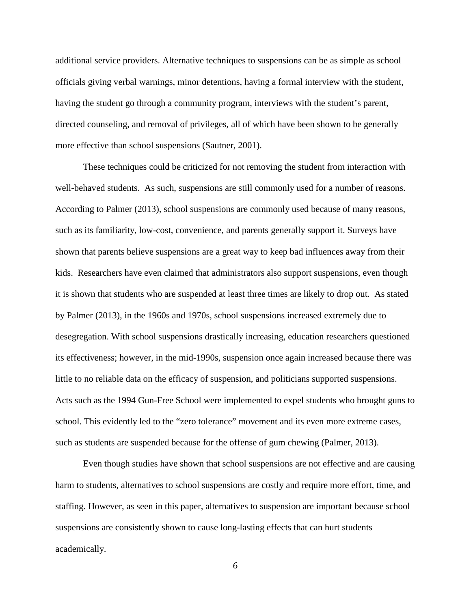additional service providers. Alternative techniques to suspensions can be as simple as school officials giving verbal warnings, minor detentions, having a formal interview with the student, having the student go through a community program, interviews with the student's parent, directed counseling, and removal of privileges, all of which have been shown to be generally more effective than school suspensions (Sautner, 2001).

These techniques could be criticized for not removing the student from interaction with well-behaved students. As such, suspensions are still commonly used for a number of reasons. According to Palmer (2013), school suspensions are commonly used because of many reasons, such as its familiarity, low-cost, convenience, and parents generally support it. Surveys have shown that parents believe suspensions are a great way to keep bad influences away from their kids. Researchers have even claimed that administrators also support suspensions, even though it is shown that students who are suspended at least three times are likely to drop out. As stated by Palmer (2013), in the 1960s and 1970s, school suspensions increased extremely due to desegregation. With school suspensions drastically increasing, education researchers questioned its effectiveness; however, in the mid-1990s, suspension once again increased because there was little to no reliable data on the efficacy of suspension, and politicians supported suspensions. Acts such as the 1994 Gun-Free School were implemented to expel students who brought guns to school. This evidently led to the "zero tolerance" movement and its even more extreme cases, such as students are suspended because for the offense of gum chewing (Palmer, 2013).

Even though studies have shown that school suspensions are not effective and are causing harm to students, alternatives to school suspensions are costly and require more effort, time, and staffing. However, as seen in this paper, alternatives to suspension are important because school suspensions are consistently shown to cause long-lasting effects that can hurt students academically.